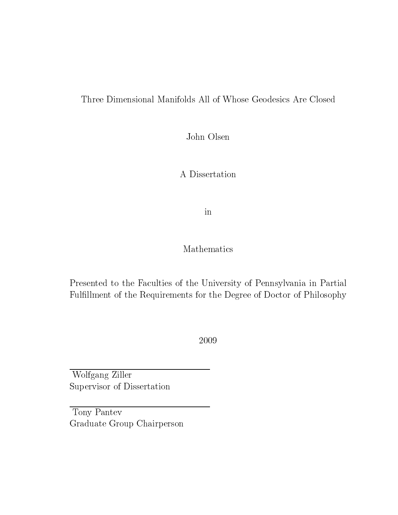#### Three Dimensional Manifolds All of Whose Geodesics Are Closed

John Olsen

A Dissertation

in

### Mathematics

Presented to the Faculties of the University of Pennsylvania in Partial Fulllment of the Requirements for the Degree of Doctor of Philosophy

2009

Wolfgang Ziller Supervisor of Dissertation

Tony Pantev Graduate Group Chairperson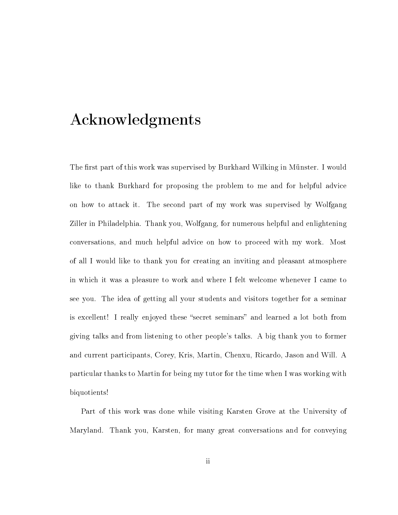### Acknowledgments

The first part of this work was supervised by Burkhard Wilking in Münster. I would like to thank Burkhard for proposing the problem to me and for helpful advice on how to attack it. The second part of my work was supervised by Wolfgang Ziller in Philadelphia. Thank you, Wolfgang, for numerous helpful and enlightening conversations, and much helpful advice on how to proceed with my work. Most of all I would like to thank you for creating an inviting and pleasant atmosphere in which it was a pleasure to work and where I felt welcome whenever I came to see you. The idea of getting all your students and visitors together for a seminar is excellent! I really enjoyed these "secret seminars" and learned a lot both from giving talks and from listening to other people's talks. A big thank you to former and current participants, Corey, Kris, Martin, Chenxu, Ricardo, Jason and Will. A particular thanks to Martin for being my tutor for the time when I was working with biquotients!

Part of this work was done while visiting Karsten Grove at the University of Maryland. Thank you, Karsten, for many great conversations and for conveying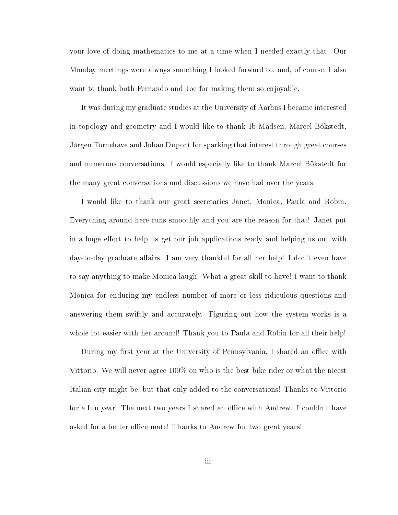your love of doing mathematics to me at a time when I needed exactly that! Our Monday meetings were always something I looked forward to, and, of course, I also want to thank both Fernando and Joe for making them so enjoyable.

It was during my graduate studies at the University of Aarhus I became interested in topology and geometry and I would like to thank Ib Madsen, Marcel Bökstedt, Jørgen Tornehave and Johan Dupont for sparking that interest through great courses and numerous conversations. I would especially like to thank Marcel Bökstedt for the many great conversations and discussions we have had over the years.

I would like to thank our great secretaries Janet, Monica, Paula and Robin. Everything around here runs smoothly and you are the reason for that! Janet put in a huge effort to help us get our job applications ready and helping us out with day-to-day graduate affairs. I am very thankful for all her help! I don't even have to say anything to make Monica laugh. What a great skill to have! I want to thank Monica for enduring my endless number of more or less ridiculous questions and answering them swiftly and accurately. Figuring out how the system works is a whole lot easier with her around! Thank you to Paula and Robin for all their help!

During my first year at the University of Pennsylvania, I shared an office with Vittorio. We will never agree 100% on who is the best bike rider or what the nicest Italian city might be, but that only added to the conversations! Thanks to Vittorio for a fun year! The next two years I shared an office with Andrew. I couldn't have asked for a better office mate! Thanks to Andrew for two great years!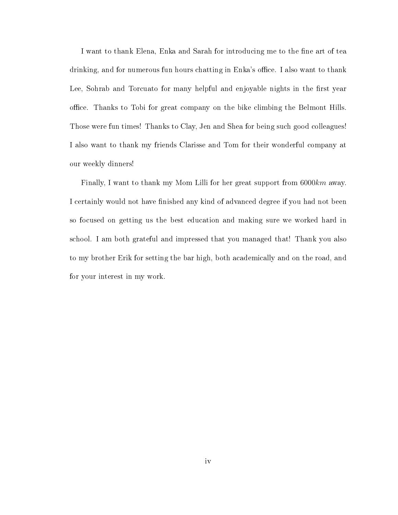I want to thank Elena, Enka and Sarah for introducing me to the fine art of tea drinking, and for numerous fun hours chatting in Enka's office. I also want to thank Lee, Sohrab and Torcuato for many helpful and enjoyable nights in the first year oce. Thanks to Tobi for great company on the bike climbing the Belmont Hills. Those were fun times! Thanks to Clay, Jen and Shea for being such good colleagues! I also want to thank my friends Clarisse and Tom for their wonderful company at our weekly dinners!

Finally, I want to thank my Mom Lilli for her great support from 6000km away. I certainly would not have finished any kind of advanced degree if you had not been so focused on getting us the best education and making sure we worked hard in school. I am both grateful and impressed that you managed that! Thank you also to my brother Erik for setting the bar high, both academically and on the road, and for your interest in my work.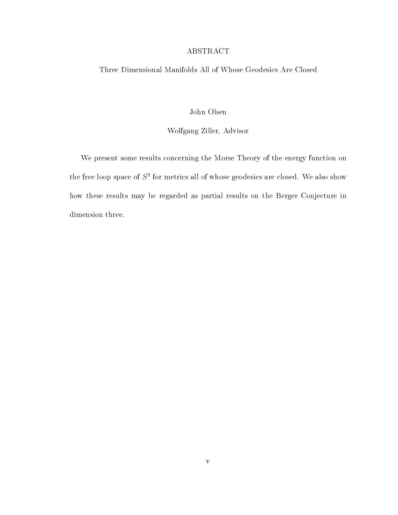#### ABSTRACT

Three Dimensional Manifolds All of Whose Geodesics Are Closed

John Olsen

#### Wolfgang Ziller, Advisor

We present some results concerning the Morse Theory of the energy function on the free loop space of  $S^3$  for metrics all of whose geodesics are closed. We also show how these results may be regarded as partial results on the Berger Conjecture in dimension three.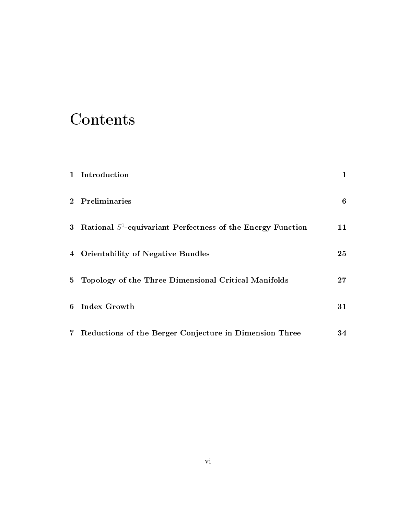## Contents

| 1 Introduction                                                   | 1  |
|------------------------------------------------------------------|----|
| 2 Preliminaries                                                  | 6  |
| 3 Rational $S^1$ -equivariant Perfectness of the Energy Function | 11 |
| 4 Orientability of Negative Bundles                              | 25 |
| 5 Topology of the Three Dimensional Critical Manifolds           | 27 |
| 6 Index Growth                                                   | 31 |
| 7 Reductions of the Berger Conjecture in Dimension Three         | 34 |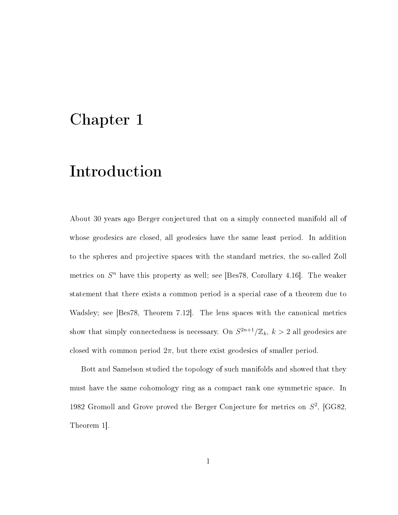### Chapter 1

### Introduction

About 30 years ago Berger conjectured that on a simply connected manifold all of whose geodesics are closed, all geodesics have the same least period. In addition to the spheres and projective spaces with the standard metrics, the so-called Zoll metrics on  $S<sup>n</sup>$  have this property as well; see [Bes78, Corollary 4.16]. The weaker statement that there exists a common period is a special case of a theorem due to Wadsley; see [Bes78, Theorem 7.12]. The lens spaces with the canonical metrics show that simply connectedness is necessary. On  $S^{2n+1}/\mathbb{Z}_k$ ,  $k > 2$  all geodesics are closed with common period  $2\pi$ , but there exist geodesics of smaller period.

Bott and Samelson studied the topology of such manifolds and showed that they must have the same cohomology ring as a compact rank one symmetric space. In 1982 Gromoll and Grove proved the Berger Conjecture for metrics on  $S^2$ , [GG82, Theorem 1].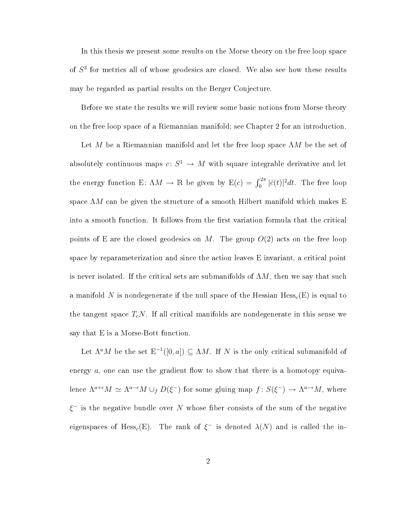In this thesis we present some results on the Morse theory on the free loop space of  $S<sup>3</sup>$  for metrics all of whose geodesics are closed. We also see how these results may be regarded as partial results on the Berger Conjecture.

Before we state the results we will review some basic notions from Morse theory on the free loop space of a Riemannian manifold; see Chapter 2 for an introduction.

Let M be a Riemannian manifold and let the free loop space  $\Lambda M$  be the set of absolutely continuous maps  $c \colon S^1 \to M$  with square integrable derivative and let the energy function E:  $\Lambda M \to \mathbb{R}$  be given by  $E(c) = \int_0^{2\pi} |\dot{c}(t)|^2 dt$ . The free loop space  $\Lambda M$  can be given the structure of a smooth Hilbert manifold which makes E into a smooth function. It follows from the first variation formula that the critical points of E are the closed geodesics on M. The group  $O(2)$  acts on the free loop space by reparameterization and since the action leaves E invariant, a critical point is never isolated. If the critical sets are submanifolds of  $\Lambda M$ , then we say that such a manifold N is nondegenerate if the null space of the Hessian  $Hess<sub>c</sub>(E)$  is equal to the tangent space  $T_cN$ . If all critical manifolds are nondegenerate in this sense we say that E is a Morse-Bott function.

Let  $\Lambda^a M$  be the set  $\mathbb{E}^{-1}([0,a]) \subseteq \Lambda M$ . If N is the only critical submanifold of energy  $a$ , one can use the gradient flow to show that there is a homotopy equivalence  $\Lambda^{a+\epsilon}M \simeq \Lambda^{a-\epsilon}M \cup_f D(\xi^-)$  for some gluing map  $f: S(\xi^-) \to \Lambda^{a-\epsilon}M$ , where  $\xi^-$  is the negative bundle over N whose fiber consists of the sum of the negative eigenspaces of Hess<sub>c</sub>(E). The rank of  $\xi^-$  is denoted  $\lambda(N)$  and is called the in-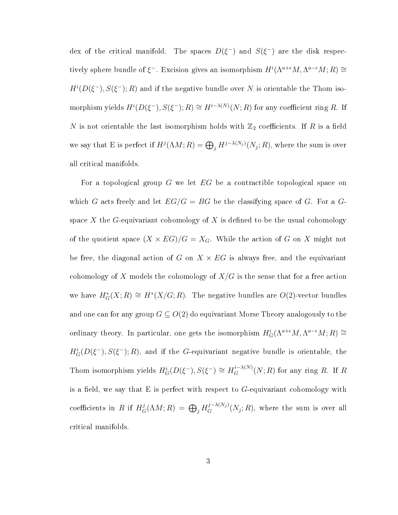dex of the critical manifold. The spaces  $D(\xi^-)$  and  $S(\xi^-)$  are the disk respectively sphere bundle of  $\xi^-$ . Excision gives an isomorphism  $H^i(\Lambda^{a+\epsilon}M, \Lambda^{a-\epsilon}M; R) \cong$  $H^{i}(D(\xi^{-}), S(\xi^{-}); R)$  and if the negative bundle over N is orientable the Thom isomorphism yields  $H^{i}(D(\xi^-),S(\xi^-);R) \cong H^{i-\lambda(N)}(N;R)$  for any coefficient ring R. If N is not orientable the last isomorphism holds with  $\mathbb{Z}_2$  coefficients. If R is a field we say that E is perfect if  $H^j(\Lambda M;R)=\bigoplus_j H^{j-\lambda(N_j)}(N_j;R),$  where the sum is over all critical manifolds.

For a topological group G we let  $EG$  be a contractible topological space on which G acts freely and let  $EG/G = BG$  be the classifying space of G. For a Gspace X the G-equivariant cohomology of X is defined to be the usual cohomology of the quotient space  $(X \times EG)/G = X_G$ . While the action of G on X might not be free, the diagonal action of G on  $X \times EG$  is always free, and the equivariant cohomology of X models the cohomology of  $X/G$  is the sense that for a free action we have  $H^*_G(X;R) \cong H^*(X/G;R)$ . The negative bundles are  $O(2)$ -vector bundles and one can for any group  $G \subseteq O(2)$  do equivariant Morse Theory analogously to the ordinary theory. In particular, one gets the isomorphism  $H_G^i(\Lambda^{a+\epsilon}M, \Lambda^{a-\epsilon}M; R) \cong$  $H_G^i(D(\xi^-),S(\xi^-);R)$ , and if the G-equivariant negative bundle is orientable, the Thom isomorphism yields  $H_G^i(D(\xi^-), S(\xi^-) \cong H_G^{i-\lambda(N)}(N;R)$  for any ring R. If R is a field, we say that E is perfect with respect to  $G$ -equivariant cohomology with coefficients in R if  $H^j_G(\Lambda M;R)\,=\,\bigoplus_j H^{j-\lambda(N_j)}_G(N_j;R),$  where the sum is over all critical manifolds.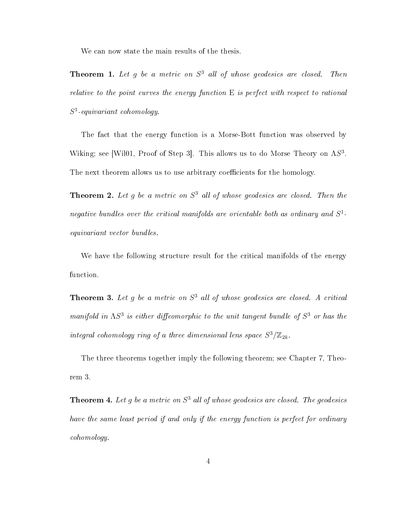We can now state the main results of the thesis.

**Theorem 1.** Let g be a metric on  $S^3$  all of whose geodesics are closed. Then relative to the point curves the energy function  $E$  is perfect with respect to rational  $S^1$ -equivariant cohomology.

The fact that the energy function is a Morse-Bott function was observed by Wiking; see [Wil01, Proof of Step 3]. This allows us to do Morse Theory on  $\Lambda S^3$ . The next theorem allows us to use arbitrary coefficients for the homology.

**Theorem 2.** Let g be a metric on  $S<sup>3</sup>$  all of whose geodesics are closed. Then the negative bundles over the critical manifolds are orientable both as ordinary and  $S^1$ equivariant vector bundles.

We have the following structure result for the critical manifolds of the energy function.

**Theorem 3.** Let g be a metric on  $S^3$  all of whose geodesics are closed. A critical manifold in  $\Lambda S^3$  is either diffeomorphic to the unit tangent bundle of  $S^3$  or has the integral cohomology ring of a three dimensional lens space  $S^3/\mathbb{Z}_{2k}$ .

The three theorems together imply the following theorem; see Chapter 7, Theorem 3.

**Theorem 4.** Let g be a metric on  $S^3$  all of whose geodesics are closed. The geodesics have the same least period if and only if the energy function is perfect for ordinary cohomology.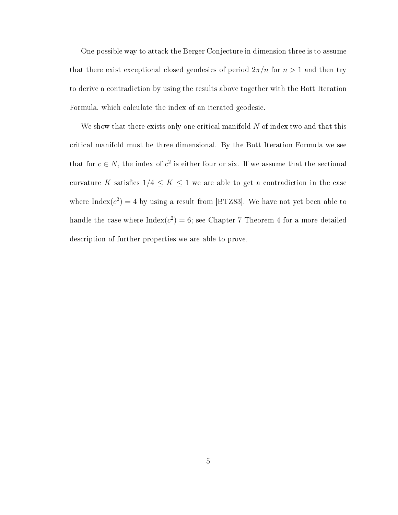One possible way to attack the Berger Conjecture in dimension three is to assume that there exist exceptional closed geodesics of period  $2\pi/n$  for  $n > 1$  and then try to derive a contradiction by using the results above together with the Bott Iteration Formula, which calculate the index of an iterated geodesic.

We show that there exists only one critical manifold  $N$  of index two and that this critical manifold must be three dimensional. By the Bott Iteration Formula we see that for  $c \in N$ , the index of  $c^2$  is either four or six. If we assume that the sectional curvature K satisfies  $1/4 \leq K \leq 1$  we are able to get a contradiction in the case where Index $(c^2) = 4$  by using a result from [BTZ83]. We have not yet been able to handle the case where  ${\rm Index}(c^2)=6;$  see Chapter 7 Theorem 4 for a more detailed description of further properties we are able to prove.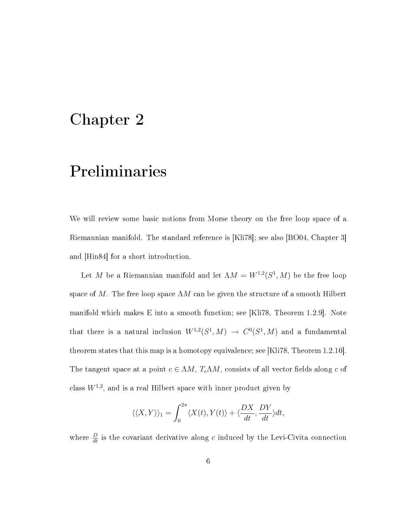### Chapter 2

### Preliminaries

We will review some basic notions from Morse theory on the free loop space of a Riemannian manifold. The standard reference is [Kli78]; see also [BO04, Chapter 3] and [Hin84] for a short introduction.

Let M be a Riemannian manifold and let  $\Lambda M = W^{1,2}(S^1, M)$  be the free loop space of M. The free loop space  $\Lambda M$  can be given the structure of a smooth Hilbert manifold which makes E into a smooth function; see [Kli78, Theorem 1.2.9]. Note that there is a natural inclusion  $W^{1,2}(S^1,M) \to C^0(S^1,M)$  and a fundamental theorem states that this map is a homotopy equivalence; see [Kli78, Theorem 1.2.10]. The tangent space at a point  $c \in \Lambda M$ ,  $T_c \Lambda M$ , consists of all vector fields along c of class  $W^{1,2}$ , and is a real Hilbert space with inner product given by

$$
\langle \langle X, Y \rangle \rangle_1 = \int_0^{2\pi} \langle X(t), Y(t) \rangle + \langle \frac{DX}{dt}, \frac{DY}{dt} \rangle dt,
$$

where  $\frac{D}{dt}$  is the covariant derivative along c induced by the Levi-Civita connection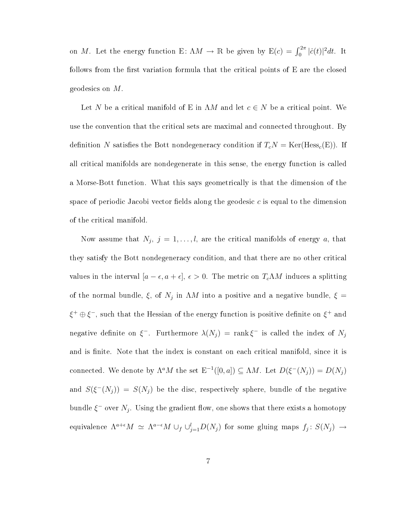on M. Let the energy function E:  $\Lambda M \to \mathbb{R}$  be given by  $E(c) = \int_0^{2\pi} |\dot{c}(t)|^2 dt$ . It follows from the first variation formula that the critical points of  $E$  are the closed geodesics on M.

Let N be a critical manifold of E in  $\Lambda M$  and let  $c \in N$  be a critical point. We use the convention that the critical sets are maximal and connected throughout. By definition N satisfies the Bott nondegeneracy condition if  $T_cN = \text{Ker}(\text{Hess}_c(E))$ . If all critical manifolds are nondegenerate in this sense, the energy function is called a Morse-Bott function. What this says geometrically is that the dimension of the space of periodic Jacobi vector fields along the geodesic  $c$  is equal to the dimension of the critical manifold.

Now assume that  $N_j$ ,  $j = 1, \ldots, l$ , are the critical manifolds of energy a, that they satisfy the Bott nondegeneracy condition, and that there are no other critical values in the interval  $[a - \epsilon, a + \epsilon], \epsilon > 0$ . The metric on  $T_c\Lambda M$  induces a splitting of the normal bundle,  $\xi$ , of  $N_j$  in  $\Lambda M$  into a positive and a negative bundle,  $\xi =$  $\xi^+ \oplus \xi^-,$  such that the Hessian of the energy function is positive definite on  $\xi^+$  and negative definite on  $\xi^-$ . Furthermore  $\lambda(N_j) = \text{rank}\,\xi^-$  is called the index of  $N_j$ and is finite. Note that the index is constant on each critical manifold, since it is connected. We denote by  $\Lambda^a M$  the set  $\mathbb{E}^{-1}([0,a]) \subseteq \Lambda M$ . Let  $D(\xi^-(N_j)) = D(N_j)$ and  $S(\xi^-(N_j)) = S(N_j)$  be the disc, respectively sphere, bundle of the negative bundle  $\xi^-$  over  $N_j$ . Using the gradient flow, one shows that there exists a homotopy equivalence  $\Lambda^{a+\epsilon}M \simeq \Lambda^{a-\epsilon}M \cup_f \cup_{j=1}^l D(N_j)$  for some gluing maps  $f_j \colon S(N_j) \to$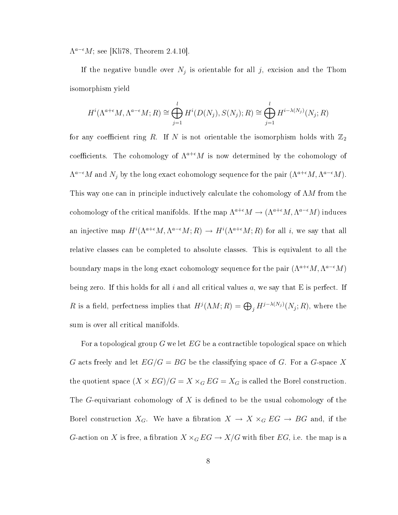$\Lambda^{a-\epsilon}M$ ; see [Kli78, Theorem 2.4.10].

If the negative bundle over  $N_j$  is orientable for all j, excision and the Thom isomorphism yield

$$
H^{i}(\Lambda^{a+\epsilon}M, \Lambda^{a-\epsilon}M; R) \cong \bigoplus_{j=1}^{l} H^{i}(D(N_j), S(N_j); R) \cong \bigoplus_{j=1}^{l} H^{i-\lambda(N_j)}(N_j; R)
$$

for any coefficient ring R. If N is not orientable the isomorphism holds with  $\mathbb{Z}_2$ coefficients. The cohomology of  $\Lambda^{a+\epsilon}M$  is now determined by the cohomology of  $\Lambda^{a-\epsilon}M$  and  $N_j$  by the long exact cohomology sequence for the pair  $(\Lambda^{a+\epsilon}M, \Lambda^{a-\epsilon}M)$ . This way one can in principle inductively calculate the cohomology of  $\Lambda M$  from the cohomology of the critical manifolds. If the map  $\Lambda^{a+\epsilon}M \to (\Lambda^{a+\epsilon}M, \Lambda^{a-\epsilon}M)$  induces an injective map  $H^{i}(\Lambda^{a+\epsilon}M, \Lambda^{a-\epsilon}M; R) \to H^{i}(\Lambda^{a+\epsilon}M; R)$  for all i, we say that all relative classes can be completed to absolute classes. This is equivalent to all the boundary maps in the long exact cohomology sequence for the pair  $(\Lambda^{a+\epsilon}M, \Lambda^{a-\epsilon}M)$ being zero. If this holds for all i and all critical values  $a$ , we say that E is perfect. If R is a field, perfectness implies that  $H^j(\Lambda M;R) = \bigoplus_j H^{j-\lambda(N_j)}(N_j;R)$ , where the sum is over all critical manifolds.

For a topological group G we let  $EG$  be a contractible topological space on which G acts freely and let  $EG/G = BG$  be the classifying space of G. For a G-space X the quotient space  $(X \times EG)/G = X \times_G EG = X_G$  is called the Borel construction. The G-equivariant cohomology of  $X$  is defined to be the usual cohomology of the Borel construction  $X_G$ . We have a fibration  $X \to X \times_G EG \to BG$  and, if the G-action on X is free, a fibration  $X \times_G EG \to X/G$  with fiber  $EG$ , i.e. the map is a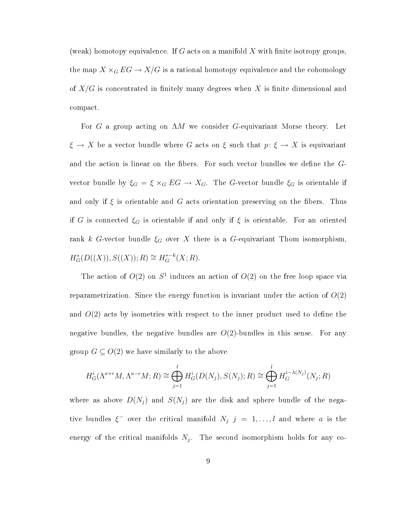(weak) homotopy equivalence. If G acts on a manifold X with finite isotropy groups, the map  $X \times_G EG \to X/G$  is a rational homotopy equivalence and the cohomology of  $X/G$  is concentrated in finitely many degrees when X is finite dimensional and compact.

For G a group acting on  $\Lambda M$  we consider G-equivariant Morse theory. Let  $\xi \to X$  be a vector bundle where G acts on  $\xi$  such that  $p: \xi \to X$  is equivariant and the action is linear on the fibers. For such vector bundles we define the  $G$ vector bundle by  $\xi_G = \xi \times_G EG \to X_G$ . The G-vector bundle  $\xi_G$  is orientable if and only if  $\xi$  is orientable and G acts orientation preserving on the fibers. Thus if G is connected  $\xi_G$  is orientable if and only if  $\xi$  is orientable. For an oriented rank k G-vector bundle  $\xi_G$  over X there is a G-equivariant Thom isomorphism,  $H_G^*(D((X)), S((X)); R) \cong H_G^{*-k}(X; R).$ 

The action of  $O(2)$  on  $S<sup>1</sup>$  induces an action of  $O(2)$  on the free loop space via reparametrization. Since the energy function is invariant under the action of  $O(2)$ and  $O(2)$  acts by isometries with respect to the inner product used to define the negative bundles, the negative bundles are  $O(2)$ -bundles in this sense. For any group  $G \subseteq O(2)$  we have similarly to the above

$$
H_G^i(\Lambda^{a+\epsilon}M, \Lambda^{a-\epsilon}M; R) \cong \bigoplus_{j=1}^l H_G^i(D(N_j), S(N_j); R) \cong \bigoplus_{j=1}^l H_G^{i-\lambda(N_j)}(N_j; R)
$$

where as above  $D(N_i)$  and  $S(N_i)$  are the disk and sphere bundle of the negative bundles  $\xi^-$  over the critical manifold  $N_j$   $j = 1, ..., l$  and where a is the energy of the critical manifolds  $N_j$ . The second isomorphism holds for any co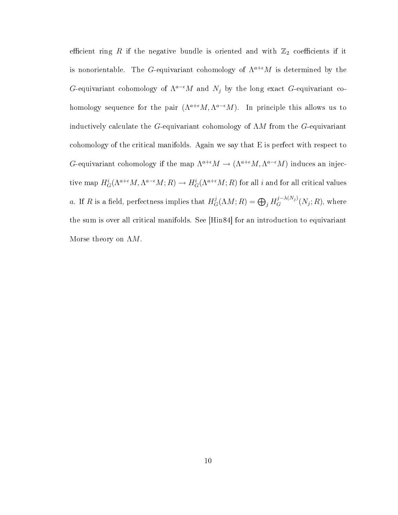efficient ring R if the negative bundle is oriented and with  $\mathbb{Z}_2$  coefficients if it is nonorientable. The G-equivariant cohomology of  $\Lambda^{a+\epsilon}M$  is determined by the G-equivariant cohomology of  $\Lambda^{a-\epsilon}M$  and  $N_j$  by the long exact G-equivariant cohomology sequence for the pair  $(\Lambda^{a+\epsilon}M, \Lambda^{a-\epsilon}M)$ . In principle this allows us to inductively calculate the G-equivariant cohomology of  $\Lambda M$  from the G-equivariant cohomology of the critical manifolds. Again we say that E is perfect with respect to G-equivariant cohomology if the map  $\Lambda^{a+\epsilon}M \to (\Lambda^{a+\epsilon}M, \Lambda^{a-\epsilon}M)$  induces an injective map  $H^i_G(\Lambda^{a+\epsilon}M,\Lambda^{a-\epsilon}M;R)\to H^i_G(\Lambda^{a+\epsilon}M;R)$  for all i and for all critical values a. If R is a field, perfectness implies that  $H_G^j(\Lambda M; R) = \bigoplus_j H_G^{j-\lambda(N_j)}(N_j; R)$ , where the sum is over all critical manifolds. See [Hin84] for an introduction to equivariant Morse theory on  $\Lambda M$ .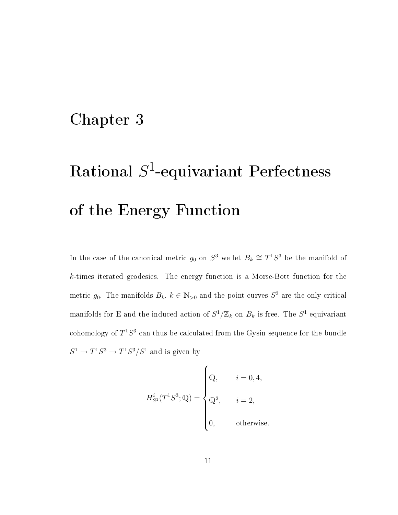### Chapter 3

# $\mathrm{Rational}\,\, S^1\text{-}\mathrm{equivariant}\,\, \mathrm{Perfectness}$ of the Energy Function

In the case of the canonical metric  $g_0$  on  $S^3$  we let  $B_k \cong T^1S^3$  be the manifold of k-times iterated geodesics. The energy function is a Morse-Bott function for the metric  $g_0$ . The manifolds  $B_k$ ,  $k \in \mathbb{N}_{>0}$  and the point curves  $S^3$  are the only critical manifolds for E and the induced action of  $S^1/\mathbb{Z}_k$  on  $B_k$  is free. The  $S^1$ -equivariant cohomology of  $T^1S^3$  can thus be calculated from the Gysin sequence for the bundle  $S^1 \to T^1 S^3 \to T^1 S^3 / S^1$  and is given by

$$
H_{S^1}^i(T^1S^3; \mathbb{Q}) = \begin{cases} \mathbb{Q}, & i = 0, 4, \\ \mathbb{Q}^2, & i = 2, \\ 0, & \text{otherwise.} \end{cases}
$$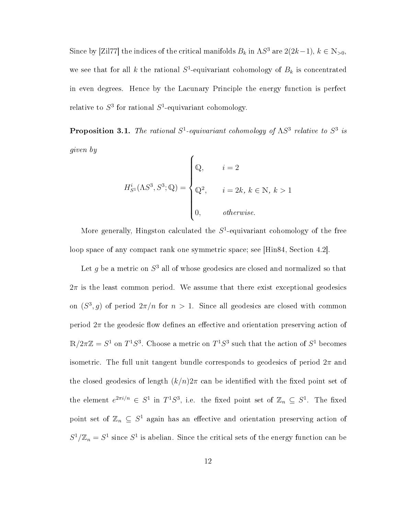Since by [Zil77] the indices of the critical manifolds  $B_k$  in  $\Lambda S^3$  are  $2(2k-1)$ ,  $k \in \mathbb{N}_{>0}$ , we see that for all k the rational  $S^1$ -equivariant cohomology of  $B_k$  is concentrated in even degrees. Hence by the Lacunary Principle the energy function is perfect relative to  $S^3$  for rational  $S^1$ -equivariant cohomology.

**Proposition 3.1.** The rational  $S^1$ -equivariant cohomology of  $\Lambda S^3$  relative to  $S^3$  is given by

$$
H_{S^{1}}^{i}(\Lambda S^{3}, S^{3}; \mathbb{Q}) = \begin{cases} \mathbb{Q}, & i = 2 \\ \mathbb{Q}^{2}, & i = 2k, k \in \mathbb{N}, k > 1 \\ 0, & otherwise. \end{cases}
$$

More generally, Hingston calculated the  $S^1$ -equivariant cohomology of the free loop space of any compact rank one symmetric space; see [Hin84, Section 4.2].

Let  $g$  be a metric on  $S^3$  all of whose geodesics are closed and normalized so that  $2\pi$  is the least common period. We assume that there exist exceptional geodesics on  $(S^3, g)$  of period  $2\pi/n$  for  $n > 1$ . Since all geodesics are closed with common period  $2\pi$  the geodesic flow defines an effective and orientation preserving action of  $\mathbb{R}/2\pi\mathbb{Z} = S^1$  on  $T^1S^3$ . Choose a metric on  $T^1S^3$  such that the action of  $S^1$  becomes isometric. The full unit tangent bundle corresponds to geodesics of period  $2\pi$  and the closed geodesics of length  $(k/n)2\pi$  can be identified with the fixed point set of the element  $e^{2\pi i/n} \in S^1$  in  $T^1S^3$ , i.e. the fixed point set of  $\mathbb{Z}_n \subseteq S^1$ . The fixed point set of  $\mathbb{Z}_n \subseteq S^1$  again has an effective and orientation preserving action of  $S^1/\mathbb{Z}_n = S^1$  since  $S^1$  is abelian. Since the critical sets of the energy function can be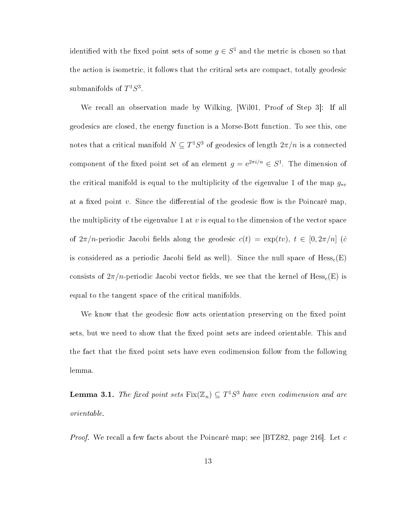identified with the fixed point sets of some  $g \in S^1$  and the metric is chosen so that the action is isometric, it follows that the critical sets are compact, totally geodesic submanifolds of  $T^1S^3$ .

We recall an observation made by Wilking, [Wil01, Proof of Step 3]: If all geodesics are closed, the energy function is a Morse-Bott function. To see this, one notes that a critical manifold  $N \subseteq T^1S^3$  of geodesics of length  $2\pi/n$  is a connected component of the fixed point set of an element  $g = e^{2\pi i/n} \in S^1$ . The dimension of the critical manifold is equal to the multiplicity of the eigenvalue 1 of the map  $g_{*v}$ at a fixed point v. Since the differential of the geodesic flow is the Poincaré map, the multiplicity of the eigenvalue 1 at  $v$  is equal to the dimension of the vector space of  $2\pi/n$ -periodic Jacobi fields along the geodesic  $c(t) = \exp(tv), t \in [0, 2\pi/n]$  (c is considered as a periodic Jacobi field as well). Since the null space of  $Hess_c(E)$ consists of  $2\pi/n$ -periodic Jacobi vector fields, we see that the kernel of Hess<sub>c</sub>(E) is equal to the tangent space of the critical manifolds.

We know that the geodesic flow acts orientation preserving on the fixed point sets, but we need to show that the fixed point sets are indeed orientable. This and the fact that the fixed point sets have even codimension follow from the following lemma.

**Lemma 3.1.** The fixed point sets  $Fix(\mathbb{Z}_n) \subseteq T^1S^3$  have even codimension and are orientable.

*Proof.* We recall a few facts about the Poincaré map; see [BTZ82, page 216]. Let c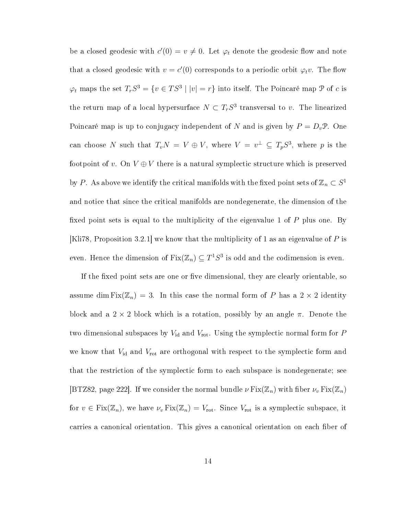be a closed geodesic with  $c'(0) = v \neq 0$ . Let  $\varphi_t$  denote the geodesic flow and note that a closed geodesic with  $v = c'(0)$  corresponds to a periodic orbit  $\varphi_t v$ . The flow  $\varphi_t$  maps the set  $T_rS^3 = \{v \in TS^3 \mid |v| = r\}$  into itself. The Poincaré map  $\mathcal P$  of c is the return map of a local hypersurface  $N \subset T_r S^3$  transversal to v. The linearized Poincaré map is up to conjugacy independent of N and is given by  $P = D_v \mathcal{P}$ . One can choose N such that  $T_vN = V \oplus V$ , where  $V = v^{\perp} \subseteq T_pS^3$ , where p is the footpoint of v. On  $V \oplus V$  there is a natural symplectic structure which is preserved by P. As above we identify the critical manifolds with the fixed point sets of  $\mathbb{Z}_n \subset S^1$ and notice that since the critical manifolds are nondegenerate, the dimension of the fixed point sets is equal to the multiplicity of the eigenvalue 1 of  $P$  plus one. By [Kli78, Proposition 3.2.1] we know that the multiplicity of 1 as an eigenvalue of P is even. Hence the dimension of  $\operatorname{Fix}(\mathbb{Z}_n)\subseteq T^1S^3$  is odd and the codimension is even.

If the fixed point sets are one or five dimensional, they are clearly orientable, so assume dim  $Fix(\mathbb{Z}_n) = 3$ . In this case the normal form of P has a  $2 \times 2$  identity block and a  $2 \times 2$  block which is a rotation, possibly by an angle  $\pi$ . Denote the two dimensional subspaces by  $V_{\rm id}$  and  $V_{\rm rot}$ . Using the symplectic normal form for  $P$ we know that  $V_{\rm id}$  and  $V_{\rm rot}$  are orthogonal with respect to the symplectic form and that the restriction of the symplectic form to each subspace is nondegenerate; see [BTZ82, page 222]. If we consider the normal bundle  $\nu \operatorname{Fix}(\mathbb{Z}_n)$  with fiber  $\nu_\nu \operatorname{Fix}(\mathbb{Z}_n)$ for  $v \in Fix(\mathbb{Z}_n)$ , we have  $\nu_v Fix(\mathbb{Z}_n) = V_{\text{rot}}$ . Since  $V_{\text{rot}}$  is a symplectic subspace, it carries a canonical orientation. This gives a canonical orientation on each fiber of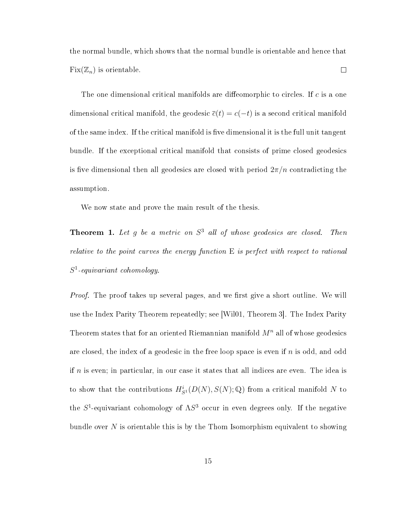the normal bundle, which shows that the normal bundle is orientable and hence that  $Fix(\mathbb{Z}_n)$  is orientable.  $\Box$ 

The one dimensional critical manifolds are diffeomorphic to circles. If  $c$  is a one dimensional critical manifold, the geodesic  $\bar{c}(t) = c(-t)$  is a second critical manifold of the same index. If the critical manifold is five dimensional it is the full unit tangent bundle. If the exceptional critical manifold that consists of prime closed geodesics is five dimensional then all geodesics are closed with period  $2\pi/n$  contradicting the assumption.

We now state and prove the main result of the thesis.

**Theorem 1.** Let g be a metric on  $S^3$  all of whose geodesics are closed. Then relative to the point curves the energy function  $E$  is perfect with respect to rational  $S^1$ -equivariant cohomology.

*Proof.* The proof takes up several pages, and we first give a short outline. We will use the Index Parity Theorem repeatedly; see [Wil01, Theorem 3]. The Index Parity Theorem states that for an oriented Riemannian manifold  $M<sup>n</sup>$  all of whose geodesics are closed, the index of a geodesic in the free loop space is even if  $n$  is odd, and odd if  $n$  is even; in particular, in our case it states that all indices are even. The idea is to show that the contributions  $H^i_{S^1}(D(N), S(N); \mathbb{Q})$  from a critical manifold N to the  $S^1$ -equivariant cohomology of  $\Lambda S^3$  occur in even degrees only. If the negative bundle over  $N$  is orientable this is by the Thom Isomorphism equivalent to showing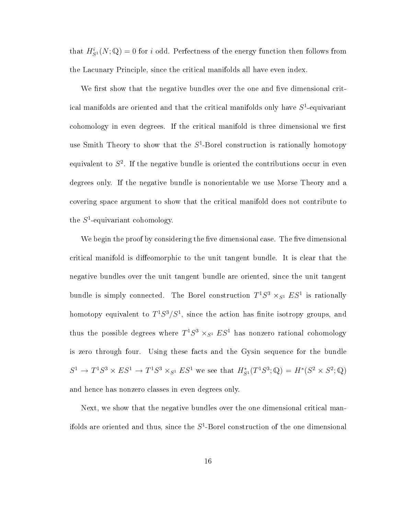that  $H_{S^1}^i(N; \mathbb{Q}) = 0$  for i odd. Perfectness of the energy function then follows from the Lacunary Principle, since the critical manifolds all have even index.

We first show that the negative bundles over the one and five dimensional critical manifolds are oriented and that the critical manifolds only have  $S^1$ -equivariant cohomology in even degrees. If the critical manifold is three dimensional we first use Smith Theory to show that the  $S^1$ -Borel construction is rationally homotopy equivalent to  $S^2$ . If the negative bundle is oriented the contributions occur in even degrees only. If the negative bundle is nonorientable we use Morse Theory and a covering space argument to show that the critical manifold does not contribute to the  $S^1$ -equivariant cohomology.

We begin the proof by considering the five dimensional case. The five dimensional critical manifold is diffeomorphic to the unit tangent bundle. It is clear that the negative bundles over the unit tangent bundle are oriented, since the unit tangent bundle is simply connected. The Borel construction  $T^1S^3 \times_{S^1} ES^1$  is rationally homotopy equivalent to  $T^1S^3/S^1$ , since the action has finite isotropy groups, and thus the possible degrees where  $T^1S^3 \times_{S^1} ES^1$  has nonzero rational cohomology is zero through four. Using these facts and the Gysin sequence for the bundle  $S^1 \to T^1 S^3 \times ES^1 \to T^1 S^3 \times_{S^1} ES^1$  we see that  $H_{S^1}^*(T^1 S^3; \mathbb{Q}) = H^*(S^2 \times S^2; \mathbb{Q})$ and hence has nonzero classes in even degrees only.

Next, we show that the negative bundles over the one dimensional critical manifolds are oriented and thus, since the  $S^1$ -Borel construction of the one dimensional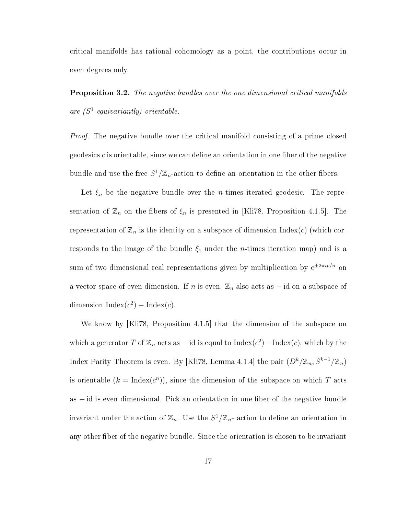critical manifolds has rational cohomology as a point, the contributions occur in even degrees only.

Proposition 3.2. The negative bundles over the one dimensional critical manifolds are  $(S^1$ -equivariantly) orientable.

*Proof.* The negative bundle over the critical manifold consisting of a prime closed geodesics c is orientable, since we can define an orientation in one fiber of the negative bundle and use the free  $S^1/\mathbb{Z}_n$ -action to define an orientation in the other fibers.

Let  $\xi_n$  be the negative bundle over the *n*-times iterated geodesic. The representation of  $\mathbb{Z}_n$  on the fibers of  $\xi_n$  is presented in [Kli78, Proposition 4.1.5]. The representation of  $\mathbb{Z}_n$  is the identity on a subspace of dimension Index(c) (which corresponds to the image of the bundle  $\xi_1$  under the *n*-times iteration map) and is a sum of two dimensional real representations given by multiplication by  $e^{\pm 2\pi i p/n}$  on a vector space of even dimension. If n is even,  $\mathbb{Z}_n$  also acts as – id on a subspace of dimension  $Index(c^2) - Index(c)$ .

We know by [Kli78, Proposition 4.1.5] that the dimension of the subspace on which a generator T of  $\mathbb{Z}_n$  acts as – id is equal to  ${\rm Index}(c^2)-{\rm Index}(c),$  which by the Index Parity Theorem is even. By [Kli78, Lemma 4.1.4] the pair  $(D^k/\mathbb{Z}_n, S^{k-1}/\mathbb{Z}_n)$ is orientable  $(k = \text{Index}(c^n))$ , since the dimension of the subspace on which T acts as – id is even dimensional. Pick an orientation in one fiber of the negative bundle invariant under the action of  $\mathbb{Z}_n$ . Use the  $S^1/\mathbb{Z}_n$ - action to define an orientation in any other fiber of the negative bundle. Since the orientation is chosen to be invariant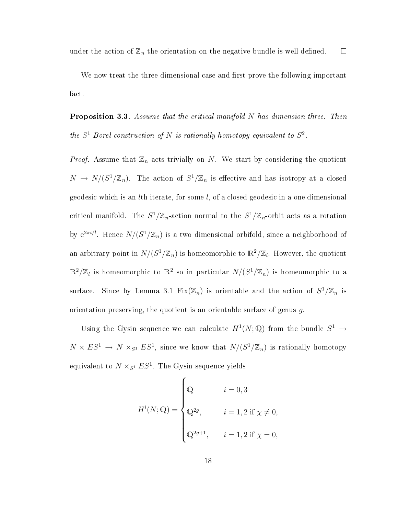We now treat the three dimensional case and first prove the following important fact.

Proposition 3.3. Assume that the critical manifold N has dimension three. Then the  $S^1$ -Borel construction of N is rationally homotopy equivalent to  $S^2$ .

*Proof.* Assume that  $\mathbb{Z}_n$  acts trivially on N. We start by considering the quotient  $N \to N/(S^1/\mathbb{Z}_n)$ . The action of  $S^1/\mathbb{Z}_n$  is effective and has isotropy at a closed geodesic which is an *l*th iterate, for some  $l$ , of a closed geodesic in a one dimensional critical manifold. The  $S^1/\mathbb{Z}_n$ -action normal to the  $S^1/\mathbb{Z}_n$ -orbit acts as a rotation by  $e^{2\pi i/l}$ . Hence  $N/(S^1/\mathbb{Z}_n)$  is a two dimensional orbifold, since a neighborhood of an arbitrary point in  $N/(S^1/\mathbb{Z}_n)$  is homeomorphic to  $\mathbb{R}^2/\mathbb{Z}_l$ . However, the quotient  $\mathbb{R}^2/\mathbb{Z}_l$  is homeomorphic to  $\mathbb{R}^2$  so in particular  $N/(S^1/\mathbb{Z}_n)$  is homeomorphic to a surface. Since by Lemma 3.1  $Fix(\mathbb{Z}_n)$  is orientable and the action of  $S^1/\mathbb{Z}_n$  is orientation preserving, the quotient is an orientable surface of genus g.

Using the Gysin sequence we can calculate  $H^1(N; \mathbb{Q})$  from the bundle  $S^1 \to$  $N \times ES^1 \to N \times_{S^1} ES^1$ , since we know that  $N/(S^1/\mathbb{Z}_n)$  is rationally homotopy equivalent to  $N \times_{S^1} ES^1$ . The Gysin sequence yields

$$
H^{i}(N; \mathbb{Q}) = \begin{cases} \mathbb{Q} & i = 0, 3 \\ \mathbb{Q}^{2g}, & i = 1, 2 \text{ if } \chi \neq 0, \\ \mathbb{Q}^{2g+1}, & i = 1, 2 \text{ if } \chi = 0, \end{cases}
$$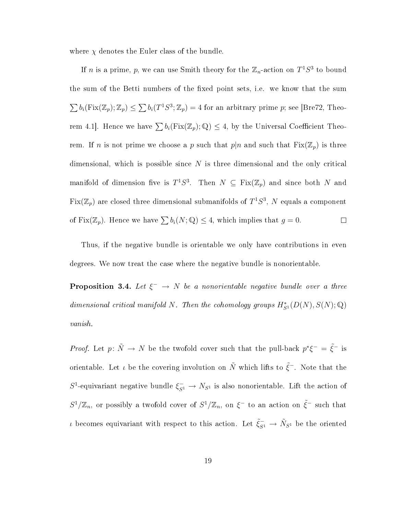where  $\chi$  denotes the Euler class of the bundle.

If *n* is a prime, *p*, we can use Smith theory for the  $\mathbb{Z}_n$ -action on  $T^1S^3$  to bound the sum of the Betti numbers of the fixed point sets, i.e. we know that the sum  $\sum b_i(Fix(\mathbb{Z}_p);\mathbb{Z}_p) \leq \sum b_i(T^1S^3;\mathbb{Z}_p) = 4$  for an arbitrary prime p; see [Bre72, Theorem 4.1]. Hence we have  $\sum b_i(Fix(\mathbb{Z}_p);\mathbb{Q}) \leq 4$ , by the Universal Coefficient Theorem. If n is not prime we choose a p such that  $p|n$  and such that  $Fix(\mathbb{Z}_p)$  is three dimensional, which is possible since  $N$  is three dimensional and the only critical manifold of dimension five is  $T^1S^3$ . Then  $N \subseteq Fix(\mathbb{Z}_p)$  and since both N and  $\mathrm{Fix}(\mathbb{Z}_p)$  are closed three dimensional submanifolds of  $T^1S^3, \, N$  equals a component of Fix( $\mathbb{Z}_p$ ). Hence we have  $\sum b_i(N; \mathbb{Q}) \leq 4$ , which implies that  $g = 0$ .  $\Box$ 

Thus, if the negative bundle is orientable we only have contributions in even degrees. We now treat the case where the negative bundle is nonorientable.

**Proposition 3.4.** Let  $\xi^ \rightarrow$  N be a nonorientable negative bundle over a three dimensional critical manifold N. Then the cohomology groups  $H_{S^1}^*(D(N),S(N);\mathbb{Q})$ vanish.

*Proof.* Let  $p: \tilde{N} \to N$  be the twofold cover such that the pull-back  $p^*\xi^- = \tilde{\xi}^-$  is orientable. Let  $\iota$  be the covering involution on  $\tilde{N}$  which lifts to  $\tilde{\xi}^-$ . Note that the S<sup>1</sup>-equivariant negative bundle  $\xi_{S^1}^- \to N_{S^1}$  is also nonorientable. Lift the action of  $S^1/\mathbb{Z}_n$ , or possibly a twofold cover of  $S^1/\mathbb{Z}_n$ , on  $\xi^-$  to an action on  $\tilde{\xi}^-$  such that *ι* becomes equivariant with respect to this action. Let  $\tilde{\xi}_{S^1} \to \tilde{N}_{S^1}$  be the oriented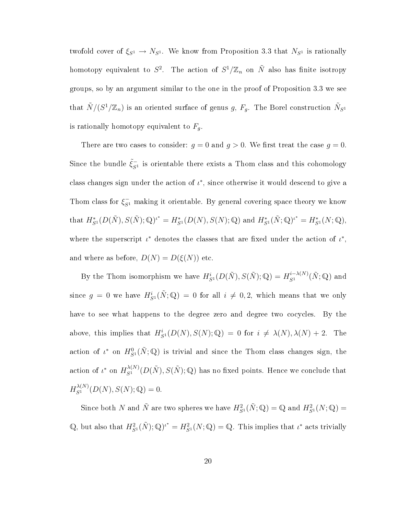twofold cover of  $\xi_{S^1} \to N_{S^1}$ . We know from Proposition 3.3 that  $N_{S^1}$  is rationally homotopy equivalent to  $S^2$ . The action of  $S^1/\mathbb{Z}_n$  on  $\tilde{N}$  also has finite isotropy groups, so by an argument similar to the one in the proof of Proposition 3.3 we see that  $\tilde{N}/(S^1/\mathbb{Z}_n)$  is an oriented surface of genus  $g, \, F_g.$  The Borel construction  $\tilde{N}_{S^1}$ is rationally homotopy equivalent to  $F_g$ .

There are two cases to consider:  $g = 0$  and  $g > 0$ . We first treat the case  $g = 0$ . Since the bundle  $\tilde{\xi}_{S^1}^-$  is orientable there exists a Thom class and this cohomology class changes sign under the action of  $\iota^*$ , since otherwise it would descend to give a Thom class for  $\xi_{S^1}^-$  making it orientable. By general covering space theory we know that  $H_{S^1}^*(D(\tilde{N}), S(\tilde{N}); \mathbb{Q})^{\iota^*} = H_{S^1}^*(D(N), S(N); \mathbb{Q})$  and  $H_{S^1}^*(\tilde{N}; \mathbb{Q})^{\iota^*} = H_{S^1}^*(N; \mathbb{Q}),$ where the superscript  $\iota^*$  denotes the classes that are fixed under the action of  $\iota^*$ , and where as before,  $D(N) = D(\xi(N))$  etc.

By the Thom isomorphism we have  $H_{S^1}^i(D(\tilde{N}),S(\tilde{N});\mathbb{Q})=H_{S^1}^{i-\lambda(N)}(\tilde{N};\mathbb{Q})$  and since  $g = 0$  we have  $H_{S^1}^i(\tilde{N}; \mathbb{Q}) = 0$  for all  $i \neq 0, 2$ , which means that we only have to see what happens to the degree zero and degree two cocycles. By the above, this implies that  $H^i_{S^1}(D(N), S(N); \mathbb{Q}) = 0$  for  $i \neq \lambda(N), \lambda(N) + 2$ . The action of  $\iota^*$  on  $H^0_{S^1}(\tilde{N}; {\mathbb Q})$  is trivial and since the Thom class changes sign, the action of  $\iota^*$  on  $H^{\lambda(N)}_{S^1}(D(\tilde{N}),S(\tilde{N}); {\mathbb{Q}})$  has no fixed points. Hence we conclude that  $H_{S^{1}}^{\lambda(N)}(D(N), S(N); Q) = 0.$ 

Since both N and  $\tilde{N}$  are two spheres we have  $H^2_{S^1}(\tilde{N};\mathbb{Q}) = \mathbb{Q}$  and  $H^2_{S^1}(N;\mathbb{Q}) =$ Q, but also that  $H^2_{S^1}(\tilde{N}); \mathbb{Q}^{\mu^*} = H^2_{S^1}(N; \mathbb{Q}) = \mathbb{Q}$ . This implies that  $\iota^*$  acts trivially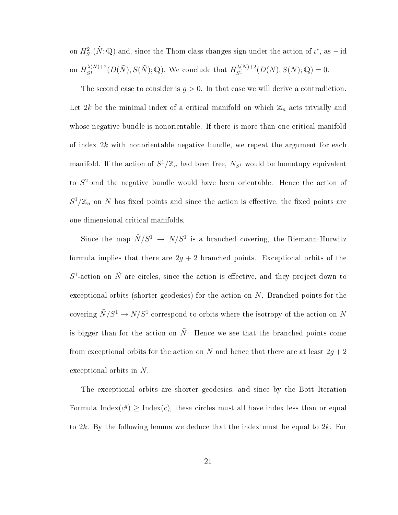on  $H^2_{S^1}(\tilde{N}; {\mathbb Q})$  and, since the Thom class changes sign under the action of  $\iota^*,$  as  $-$  id on  $H_{S^1}^{\lambda(N)+2}(D(\tilde{N}),S(\tilde{N});\mathbb{Q})$ . We conclude that  $H_{S^1}^{\lambda(N)+2}(D(N),S(N);\mathbb{Q})=0$ .

The second case to consider is  $g > 0$ . In that case we will derive a contradiction. Let 2k be the minimal index of a critical manifold on which  $\mathbb{Z}_n$  acts trivially and whose negative bundle is nonorientable. If there is more than one critical manifold of index  $2k$  with nonorientable negative bundle, we repeat the argument for each manifold. If the action of  $S^1/\mathbb{Z}_n$  had been free,  $N_{S^1}$  would be homotopy equivalent to  $S<sup>2</sup>$  and the negative bundle would have been orientable. Hence the action of  $S^1/\mathbb{Z}_n$  on N has fixed points and since the action is effective, the fixed points are one dimensional critical manifolds.

Since the map  $\tilde{N}/S^1 \rightarrow N/S^1$  is a branched covering, the Riemann-Hurwitz formula implies that there are  $2g + 2$  branched points. Exceptional orbits of the  $S^1$ -action on  $\tilde{N}$  are circles, since the action is effective, and they project down to exceptional orbits (shorter geodesics) for the action on N. Branched points for the covering  $\tilde{N}/S^1 \rightarrow N/S^1$  correspond to orbits where the isotropy of the action on  $N$ is bigger than for the action on  $\tilde{N}$ . Hence we see that the branched points come from exceptional orbits for the action on N and hence that there are at least  $2g + 2$ exceptional orbits in N.

The exceptional orbits are shorter geodesics, and since by the Bott Iteration Formula Index $(c^q) \geq \text{Index}(c)$ , these circles must all have index less than or equal to  $2k$ . By the following lemma we deduce that the index must be equal to  $2k$ . For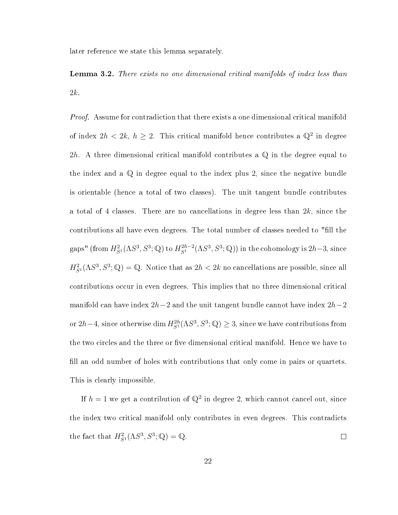later reference we state this lemma separately.

**Lemma 3.2.** There exists no one dimensional critical manifolds of index less than 2k.

Proof. Assume for contradiction that there exists a one dimensional critical manifold of index  $2h < 2k$ ,  $h \geq 2$ . This critical manifold hence contributes a  $\mathbb{Q}^2$  in degree 2h. A three dimensional critical manifold contributes a  $\mathbb Q$  in the degree equal to the index and a  $\mathbb Q$  in degree equal to the index plus 2, since the negative bundle is orientable (hence a total of two classes). The unit tangent bundle contributes a total of 4 classes. There are no cancellations in degree less than  $2k$ , since the contributions all have even degrees. The total number of classes needed to "fill the gaps" (from  $H_{S^1}^2(\Lambda S^3,S^3;\mathbb{Q})$  to  $H_{S^1}^{2h-2}(\Lambda S^3,S^3;\mathbb{Q}))$  in the cohomology is  $2h-3$ , since  $H_{S^1}^2(\Lambda S^3,S^3;\mathbb{Q})=\mathbb{Q}$ . Notice that as  $2h < 2k$  no cancellations are possible, since all contributions occur in even degrees. This implies that no three dimensional critical manifold can have index  $2h-2$  and the unit tangent bundle cannot have index  $2h-2$ or  $2h-4$ , since otherwise  $\dim H^{2h}_{S^1}(\Lambda S^3,S^3;\mathbb{Q})\geq 3$ , since we have contributions from the two circles and the three or five dimensional critical manifold. Hence we have to fill an odd number of holes with contributions that only come in pairs or quartets. This is clearly impossible.

If  $h = 1$  we get a contribution of  $\mathbb{Q}^2$  in degree 2, which cannot cancel out, since the index two critical manifold only contributes in even degrees. This contradicts the fact that  $H_{S^1}^2(\Lambda S^3, S^3; \mathbb{Q}) = \mathbb{Q}$ .  $\Box$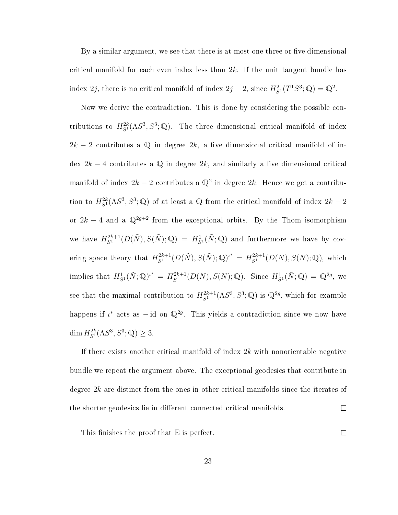By a similar argument, we see that there is at most one three or five dimensional critical manifold for each even index less than  $2k$ . If the unit tangent bundle has index 2*j*, there is no critical manifold of index  $2j + 2$ , since  $H_{S}^2(T^1S^3; \mathbb{Q}) = \mathbb{Q}^2$ .

Now we derive the contradiction. This is done by considering the possible contributions to  $H^{2k}_{S^1}(\Lambda S^3, S^3; \mathbb{Q})$ . The three dimensional critical manifold of index  $2k-2$  contributes a Q in degree  $2k$ , a five dimensional critical manifold of index  $2k - 4$  contributes a Q in degree  $2k$ , and similarly a five dimensional critical manifold of index  $2k-2$  contributes a  $\mathbb{Q}^2$  in degree  $2k$ . Hence we get a contribution to  $H^{2k}_{S^1}(\Lambda S^3, S^3; \mathbb{Q})$  of at least a  $\mathbb Q$  from the critical manifold of index  $2k-2$ or  $2k - 4$  and a  $\mathbb{Q}^{2g+2}$  from the exceptional orbits. By the Thom isomorphism we have  $H^{2k+1}_{S^1}(D(\tilde{N}),S(\tilde{N});\mathbb{Q}) = H^1_{S^1}(\tilde{N};\mathbb{Q})$  and furthermore we have by covering space theory that  $H_{S^1}^{2k+1}(D(\tilde{N}),S(\tilde{N});\mathbb{Q})^{\iota^*} = H_{S^1}^{2k+1}(D(N),S(N);\mathbb{Q}),$  which implies that  $H^1_{S^1}(\tilde{N};\mathbb{Q})^{i^*} = H^{2k+1}_{S^1}(D(N),S(N);\mathbb{Q})$ . Since  $H^1_{S^1}(\tilde{N};\mathbb{Q}) = \mathbb{Q}^{2g}$ , we see that the maximal contribution to  $H_{S^1}^{2k+1}(\Lambda S^3, S^3; \mathbb{Q})$  is  $\mathbb{Q}^{2g}$ , which for example happens if  $\iota^*$  acts as  $-\text{id}$  on  $\mathbb{Q}^{2g}$ . This yields a contradiction since we now have dim  $H_{S^1}^{2k}(\Lambda S^3, S^3; \mathbb{Q}) \geq 3.$ 

If there exists another critical manifold of index 2k with nonorientable negative bundle we repeat the argument above. The exceptional geodesics that contribute in degree  $2k$  are distinct from the ones in other critical manifolds since the iterates of the shorter geodesics lie in different connected critical manifolds.  $\Box$ 

This finishes the proof that E is perfect.

 $\Box$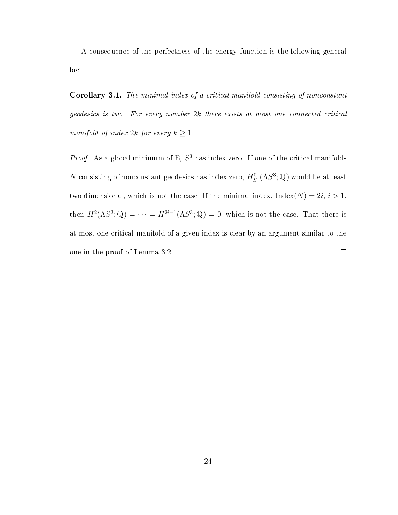A consequence of the perfectness of the energy function is the following general fact.

Corollary 3.1. The minimal index of a critical manifold consisting of nonconstant geodesics is two. For every number 2k there exists at most one connected critical manifold of index 2k for every  $k \geq 1$ .

*Proof.* As a global minimum of E,  $S<sup>3</sup>$  has index zero. If one of the critical manifolds  $N$  consisting of nonconstant geodesics has index zero,  $H^0_{S^1}(\Lambda S^3;\mathbb{Q})$  would be at least two dimensional, which is not the case. If the minimal index,  $Index(N) = 2i, i > 1$ , then  $H^2(\Lambda S^3; \mathbb{Q}) = \cdots = H^{2i-1}(\Lambda S^3; \mathbb{Q}) = 0$ , which is not the case. That there is at most one critical manifold of a given index is clear by an argument similar to the one in the proof of Lemma 3.2.  $\Box$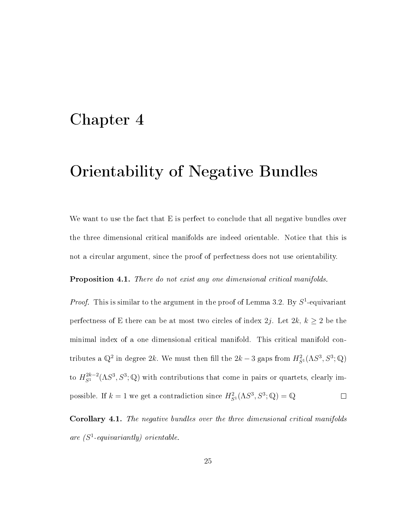### Chapter 4

## Orientability of Negative Bundles

We want to use the fact that E is perfect to conclude that all negative bundles over the three dimensional critical manifolds are indeed orientable. Notice that this is not a circular argument, since the proof of perfectness does not use orientability.

Proposition 4.1. There do not exist any one dimensional critical manifolds.

*Proof.* This is similar to the argument in the proof of Lemma 3.2. By  $S^1$ -equivariant perfectness of E there can be at most two circles of index 2j. Let  $2k, k \geq 2$  be the minimal index of a one dimensional critical manifold. This critical manifold contributes a  $\mathbb{Q}^2$  in degree 2k. We must then fill the 2k – 3 gaps from  $H^2_{S^1}(\Lambda S^3, S^3; \mathbb{Q})$ to  $H^{2k-2}_{S^1}(\Lambda S^3, S^3; \mathbb{Q})$  with contributions that come in pairs or quartets, clearly impossible. If  $k = 1$  we get a contradiction since  $H^2_{S^1}(\Lambda S^3, S^3; \mathbb{Q}) = \mathbb{Q}$  $\Box$ 

Corollary 4.1. The negative bundles over the three dimensional critical manifolds are  $(S^1$ -equivariantly) orientable.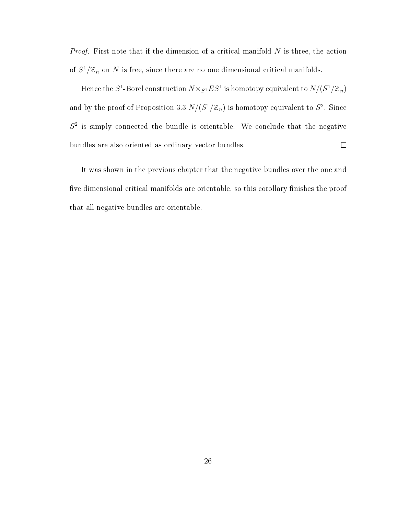*Proof.* First note that if the dimension of a critical manifold  $N$  is three, the action of  $S^1/\mathbb{Z}_n$  on N is free, since there are no one dimensional critical manifolds.

Hence the  $S^1$ -Borel construction  $N\times_{S^1}ES^1$  is homotopy equivalent to  $N/(S^1/\mathbb{Z}_n)$ and by the proof of Proposition 3.3  $N/(S^1/\mathbb{Z}_n)$  is homotopy equivalent to  $S^2$ . Since  $S<sup>2</sup>$  is simply connected the bundle is orientable. We conclude that the negative  $\Box$ bundles are also oriented as ordinary vector bundles.

It was shown in the previous chapter that the negative bundles over the one and five dimensional critical manifolds are orientable, so this corollary finishes the proof that all negative bundles are orientable.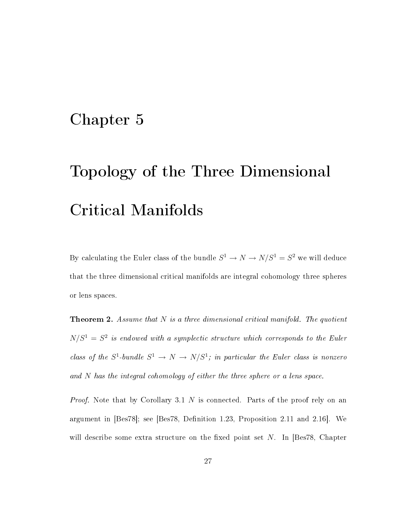## Chapter 5

# Topology of the Three Dimensional Critical Manifolds

By calculating the Euler class of the bundle  $S^1 \to N \to N/S^1 = S^2$  we will deduce that the three dimensional critical manifolds are integral cohomology three spheres or lens spaces.

**Theorem 2.** Assume that  $N$  is a three dimensional critical manifold. The quotient  $N/S<sup>1</sup> = S<sup>2</sup>$  is endowed with a symplectic structure which corresponds to the Euler class of the  $S^1$ -bundle  $S^1 \to N \to N/S^1$ ; in particular the Euler class is nonzero and N has the integral cohomology of either the three sphere or a lens space.

Proof. Note that by Corollary 3.1 N is connected. Parts of the proof rely on an argument in  $[Bes78]$ ; see  $[Bes78, Definition 1.23, Proposition 2.11 and 2.16]$ . We will describe some extra structure on the fixed point set  $N$ . In [Bes78, Chapter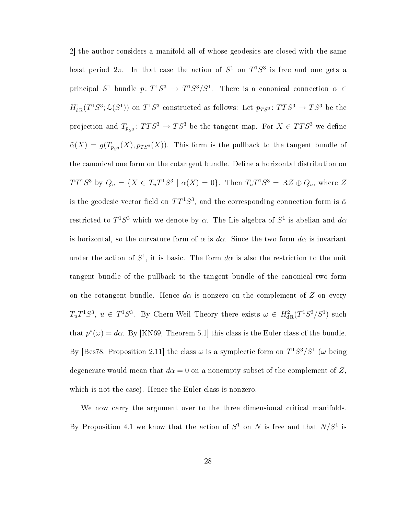2] the author considers a manifold all of whose geodesics are closed with the same least period  $2\pi$ . In that case the action of  $S^1$  on  $T^1S^3$  is free and one gets a principal  $S^1$  bundle  $p: T^1S^3 \rightarrow T^1S^3/S^1$ . There is a canonical connection  $\alpha \in$  $H^1_{\text{dR}}(T^1S^3;\mathcal{L}(S^1))$  on  $T^1S^3$  constructed as follows: Let  $p_{TS^3}\colon TTS^3\to TS^3$  be the projection and  $T_{p_{S^3}} \colon TTS^3 \to TS^3$  be the tangent map. For  $X \in TTS^3$  we define  $\tilde{\alpha}(X) = g(T_{p_{S^3}}(X), p_{TS^3}(X)).$  This form is the pullback to the tangent bundle of the canonical one form on the cotangent bundle. Define a horizontal distribution on  $TT^1S^3$  by  $Q_u = \{X \in T_uT^1S^3 \mid \alpha(X) = 0\}$ . Then  $T_uT^1S^3 = \mathbb{R}Z \oplus Q_u$ , where Z is the geodesic vector field on  $TT^1S^3,$  and the corresponding connection form is  $\tilde{\alpha}$ restricted to  $T^1S^3$  which we denote by  $\alpha$ . The Lie algebra of  $S^1$  is abelian and  $d\alpha$ is horizontal, so the curvature form of  $\alpha$  is d $\alpha$ . Since the two form d $\alpha$  is invariant under the action of  $S^1$ , it is basic. The form  $d\alpha$  is also the restriction to the unit tangent bundle of the pullback to the tangent bundle of the canonical two form on the cotangent bundle. Hence  $d\alpha$  is nonzero on the complement of Z on every  $T_u T^1 S^3$ ,  $u \in T^1 S^3$ . By Chern-Weil Theory there exists  $\omega \in H^2_{\text{dR}}(T^1 S^3/S^1)$  such that  $p^*(\omega) = d\alpha$ . By [KN69, Theorem 5.1] this class is the Euler class of the bundle. By [Bes78, Proposition 2.11] the class  $\omega$  is a symplectic form on  $T^1S^3/S^1$  ( $\omega$  being degenerate would mean that  $d\alpha = 0$  on a nonempty subset of the complement of Z, which is not the case). Hence the Euler class is nonzero.

We now carry the argument over to the three dimensional critical manifolds. By Proposition 4.1 we know that the action of  $S^1$  on N is free and that  $N/S^1$  is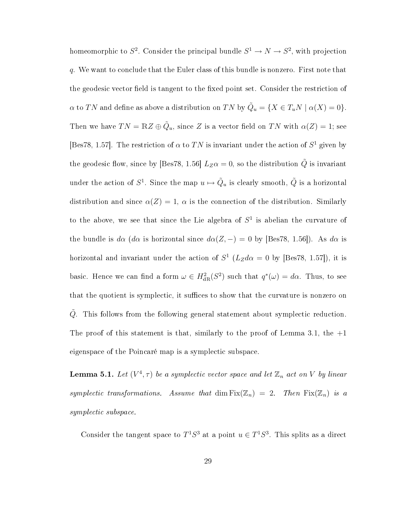homeomorphic to  $S^2$ . Consider the principal bundle  $S^1 \to N \to S^2$ , with projection q. We want to conclude that the Euler class of this bundle is nonzero. First note that the geodesic vector field is tangent to the fixed point set. Consider the restriction of  $\alpha$  to TN and define as above a distribution on TN by  $\tilde{Q}_u = \{X \in T_uN \mid \alpha(X) = 0\}.$ Then we have  $TN = \mathbb{R}Z \oplus \tilde{Q}_u$ , since Z is a vector field on  $TN$  with  $\alpha(Z) = 1$ ; see [Bes78, 1.57]. The restriction of  $\alpha$  to TN is invariant under the action of  $S^1$  given by the geodesic flow, since by [Bes78, 1.56]  $L_Z\alpha = 0$ , so the distribution  $\tilde{Q}$  is invariant under the action of  $S^1$ . Since the map  $u \mapsto \tilde{Q}_u$  is clearly smooth,  $\tilde{Q}$  is a horizontal distribution and since  $\alpha(Z) = 1$ ,  $\alpha$  is the connection of the distribution. Similarly to the above, we see that since the Lie algebra of  $S<sup>1</sup>$  is abelian the curvature of the bundle is  $d\alpha$  ( $d\alpha$  is horizontal since  $d\alpha(Z, -) = 0$  by [Bes78, 1.56]). As  $d\alpha$  is horizontal and invariant under the action of  $S^1$  ( $L_Zd\alpha = 0$  by [Bes78, 1.57]), it is basic. Hence we can find a form  $\omega \in H^2_{\text{dR}}(S^2)$  such that  $q^*(\omega) = d\alpha$ . Thus, to see that the quotient is symplectic, it suffices to show that the curvature is nonzero on Q. This follows from the following general statement about symplectic reduction. The proof of this statement is that, similarly to the proof of Lemma 3.1, the  $+1$ eigenspace of the Poincaré map is a symplectic subspace.

**Lemma 5.1.** Let  $(V^4, \tau)$  be a symplectic vector space and let  $\mathbb{Z}_n$  act on V by linear symplectic transformations. Assume that dim  $Fix(\mathbb{Z}_n) = 2$ . Then  $Fix(\mathbb{Z}_n)$  is a symplectic subspace.

Consider the tangent space to  $T^1S^3$  at a point  $u \in T^1S^3$ . This splits as a direct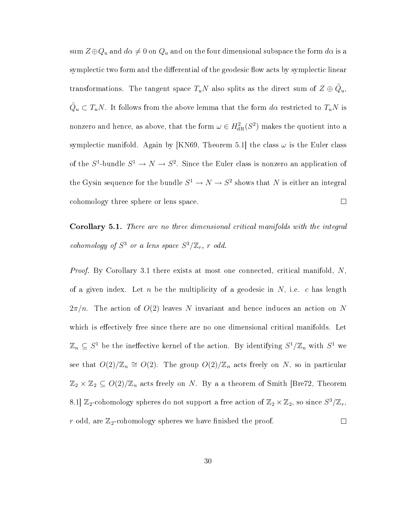sum  $Z \oplus Q_u$  and  $d\alpha \neq 0$  on  $Q_u$  and on the four dimensional subspace the form  $d\alpha$  is a symplectic two form and the differential of the geodesic flow acts by symplectic linear transformations. The tangent space  $T_uN$  also splits as the direct sum of  $Z\oplus \tilde{Q}_u,$  $\tilde{Q}_u \subset T_uN$ . It follows from the above lemma that the form  $d\alpha$  restricted to  $T_uN$  is nonzero and hence, as above, that the form  $\omega \in H^2_{\text{dR}}(S^2)$  makes the quotient into a symplectic manifold. Again by [KN69, Theorem 5.1] the class  $\omega$  is the Euler class of the  $S^1$ -bundle  $S^1 \to N \to S^2$ . Since the Euler class is nonzero an application of the Gysin sequence for the bundle  $S^1 \to N \to S^2$  shows that N is either an integral cohomology three sphere or lens space.  $\Box$ 

Corollary 5.1. There are no three dimensional critical manifolds with the integral cohomology of  $S^3$  or a lens space  $S^3/\mathbb{Z}_r$ , r odd.

*Proof.* By Corollary 3.1 there exists at most one connected, critical manifold,  $N$ , of a given index. Let n be the multiplicity of a geodesic in  $N$ , i.e. c has length  $2\pi/n$ . The action of  $O(2)$  leaves N invariant and hence induces an action on N which is effectively free since there are no one dimensional critical manifolds. Let  $\mathbb{Z}_n \subseteq S^1$  be the ineffective kernel of the action. By identifying  $S^1/\mathbb{Z}_n$  with  $S^1$  we see that  $O(2)/\mathbb{Z}_n \cong O(2)$ . The group  $O(2)/\mathbb{Z}_n$  acts freely on N, so in particular  $\mathbb{Z}_2 \times \mathbb{Z}_2 \subseteq O(2)/\mathbb{Z}_n$  acts freely on N. By a a theorem of Smith [Bre72, Theorem 8.1]  $\mathbb{Z}_2$ -cohomology spheres do not support a free action of  $\mathbb{Z}_2 \times \mathbb{Z}_2$ , so since  $S^3/\mathbb{Z}_r$ , r odd, are  $\mathbb{Z}_2$ -cohomology spheres we have finished the proof.  $\Box$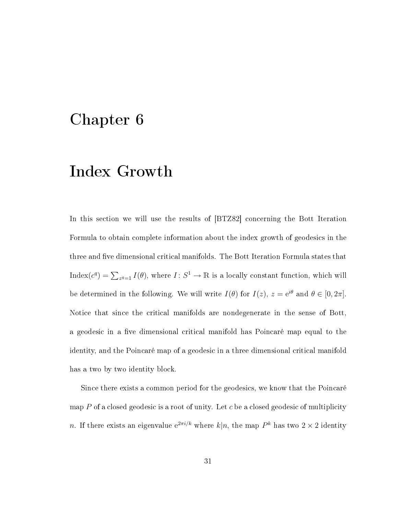### Chapter 6

### Index Growth

In this section we will use the results of [BTZ82] concerning the Bott Iteration Formula to obtain complete information about the index growth of geodesics in the three and five dimensional critical manifolds. The Bott Iteration Formula states that Index( $c^q$ ) =  $\sum_{z^q=1} I(\theta)$ , where  $I: S^1 \to \mathbb{R}$  is a locally constant function, which will be determined in the following. We will write  $I(\theta)$  for  $I(z)$ ,  $z = e^{i\theta}$  and  $\theta \in [0, 2\pi]$ . Notice that since the critical manifolds are nondegenerate in the sense of Bott, a geodesic in a five dimensional critical manifold has Poincaré map equal to the identity, and the Poincaré map of a geodesic in a three dimensional critical manifold has a two by two identity block.

Since there exists a common period for the geodesics, we know that the Poincaré map  $P$  of a closed geodesic is a root of unity. Let  $c$  be a closed geodesic of multiplicity n. If there exists an eigenvalue  $e^{2\pi i/k}$  where  $k|n$ , the map  $P^k$  has two  $2\times 2$  identity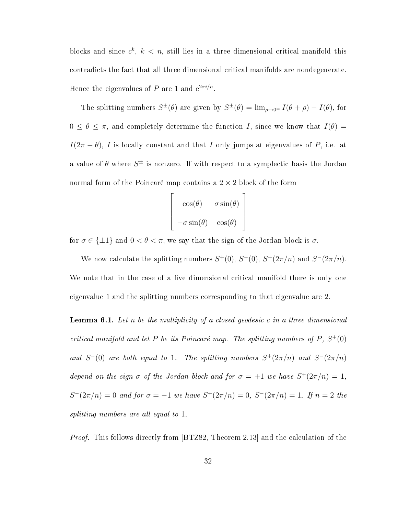blocks and since  $c^k$ ,  $k < n$ , still lies in a three dimensional critical manifold this contradicts the fact that all three dimensional critical manifolds are nondegenerate. Hence the eigenvalues of  $P$  are 1 and  $e^{2\pi i/n}$ .

The splitting numbers  $S^{\pm}(\theta)$  are given by  $S^{\pm}(\theta) = \lim_{\rho \to 0^{\pm}} I(\theta + \rho) - I(\theta)$ , for  $0 \le \theta \le \pi$ , and completely determine the function I, since we know that  $I(\theta) =$  $I(2\pi - \theta)$ , I is locally constant and that I only jumps at eigenvalues of P, i.e. at a value of  $\theta$  where  $S^{\pm}$  is nonzero. If with respect to a symplectic basis the Jordan normal form of the Poincaré map contains a  $2 \times 2$  block of the form

$$
\begin{bmatrix}\n\cos(\theta) & \sigma \sin(\theta) \\
-\sigma \sin(\theta) & \cos(\theta)\n\end{bmatrix}
$$

for  $\sigma \in \{\pm 1\}$  and  $0 < \theta < \pi$ , we say that the sign of the Jordan block is  $\sigma$ .

We now calculate the splitting numbers  $S^+(0)$ ,  $S^-(0)$ ,  $S^+(2\pi/n)$  and  $S^-(2\pi/n)$ . We note that in the case of a five dimensional critical manifold there is only one eigenvalue 1 and the splitting numbers corresponding to that eigenvalue are 2.

**Lemma 6.1.** Let n be the multiplicity of a closed geodesic c in a three dimensional critical manifold and let P be its Poincaré map. The splitting numbers of P,  $S^+(0)$ and  $S^-(0)$  are both equal to 1. The splitting numbers  $S^+(2\pi/n)$  and  $S^-(2\pi/n)$ depend on the sign  $\sigma$  of the Jordan block and for  $\sigma = +1$  we have  $S^+(2\pi/n) = 1$ ,  $S^{-}(2\pi/n) = 0$  and for  $\sigma = -1$  we have  $S^{+}(2\pi/n) = 0$ ,  $S^{-}(2\pi/n) = 1$ . If  $n = 2$  the splitting numbers are all equal to 1.

Proof. This follows directly from [BTZ82, Theorem 2.13] and the calculation of the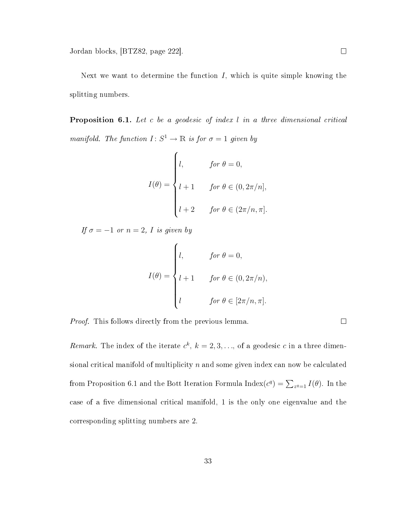Next we want to determine the function  $I$ , which is quite simple knowing the splitting numbers.

**Proposition 6.1.** Let c be a geodesic of index l in a three dimensional critical manifold. The function  $I: S^1 \to \mathbb{R}$  is for  $\sigma = 1$  given by

$$
I(\theta) = \begin{cases} l, & \text{for } \theta = 0, \\ l+1 & \text{for } \theta \in (0, 2\pi/n], \\ l+2 & \text{for } \theta \in (2\pi/n, \pi]. \end{cases}
$$

If  $\sigma = -1$  or  $n = 2$ , I is given by

$$
I(\theta) = \begin{cases} l, & \text{for } \theta = 0, \\ l+1 & \text{for } \theta \in (0, 2\pi/n), \\ l & \text{for } \theta \in [2\pi/n, \pi]. \end{cases}
$$

Proof. This follows directly from the previous lemma.

Remark. The index of the iterate  $c^k$ ,  $k = 2, 3, \ldots$ , of a geodesic c in a three dimensional critical manifold of multiplicity  $n$  and some given index can now be calculated from Proposition 6.1 and the Bott Iteration Formula Index( $c^q$ ) =  $\sum_{z^q=1} I(\theta)$ . In the case of a five dimensional critical manifold, 1 is the only one eigenvalue and the corresponding splitting numbers are 2.

 $\Box$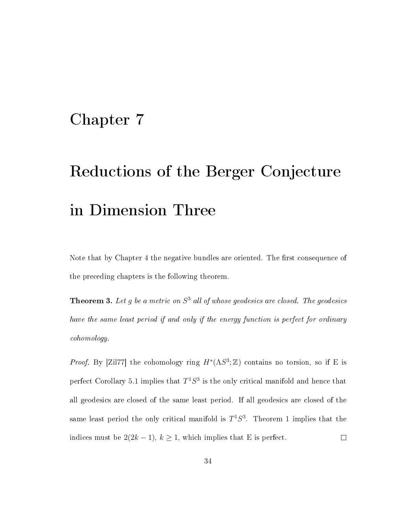### Chapter 7

# Reductions of the Berger Conjecture in Dimension Three

Note that by Chapter 4 the negative bundles are oriented. The first consequence of the preceding chapters is the following theorem.

**Theorem 3.** Let g be a metric on  $S^3$  all of whose geodesics are closed. The geodesics have the same least period if and only if the energy function is perfect for ordinary cohomology.

*Proof.* By [Zil77] the cohomology ring  $H^*(\Lambda S^3; \mathbb{Z})$  contains no torsion, so if E is perfect Corollary 5.1 implies that  $T^1S^3$  is the only critical manifold and hence that all geodesics are closed of the same least period. If all geodesics are closed of the same least period the only critical manifold is  $T^1S^3$ . Theorem 1 implies that the indices must be  $2(2k-1)$ ,  $k \ge 1$ , which implies that E is perfect.  $\Box$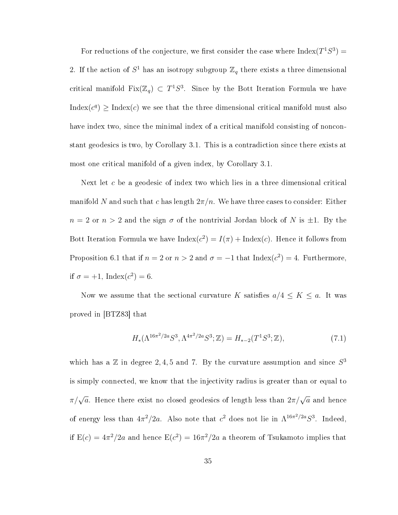For reductions of the conjecture, we first consider the case where  $Index(T^1S^3)$  = 2. If the action of  $S^1$  has an isotropy subgroup  $\mathbb{Z}_q$  there exists a three dimensional critical manifold Fix( $\mathbb{Z}_q$ )  $\subset T^1S^3$ . Since by the Bott Iteration Formula we have Index $(c^q)$   $\geq$  Index $(c)$  we see that the three dimensional critical manifold must also have index two, since the minimal index of a critical manifold consisting of nonconstant geodesics is two, by Corollary 3.1. This is a contradiction since there exists at most one critical manifold of a given index, by Corollary 3.1.

Next let c be a geodesic of index two which lies in a three dimensional critical manifold N and such that c has length  $2\pi/n$ . We have three cases to consider: Either  $n = 2$  or  $n > 2$  and the sign  $\sigma$  of the nontrivial Jordan block of N is  $\pm 1$ . By the Bott Iteration Formula we have  $Index(c^2) = I(\pi) + Index(c)$ . Hence it follows from Proposition 6.1 that if  $n = 2$  or  $n > 2$  and  $\sigma = -1$  that Index( $c^2$ ) = 4. Furthermore, if  $\sigma = +1$ , Index $(c^2) = 6$ .

Now we assume that the sectional curvature K satisfies  $a/4 \leq K \leq a$ . It was proved in [BTZ83] that

$$
H_*(\Lambda^{16\pi^2/2a} S^3, \Lambda^{4\pi^2/2a} S^3; \mathbb{Z}) = H_{*-2}(T^1 S^3; \mathbb{Z}),
$$
\n(7.1)

which has a  $\mathbb Z$  in degree 2, 4, 5 and 7. By the curvature assumption and since  $S^3$ is simply connected, we know that the injectivity radius is greater than or equal to  $\pi/\sqrt{a}$ . Hence there exist no closed geodesics of length less than  $2\pi/\sqrt{a}$  and hence of energy less than  $4\pi^2/2a$ . Also note that  $c^2$  does not lie in  $\Lambda^{16\pi^2/2a}S^3$ . Indeed, if  $\mathrm{E}(c)=4\pi^2/2a$  and hence  $\mathrm{E}(c^2)=16\pi^2/2a$  a theorem of Tsukamoto implies that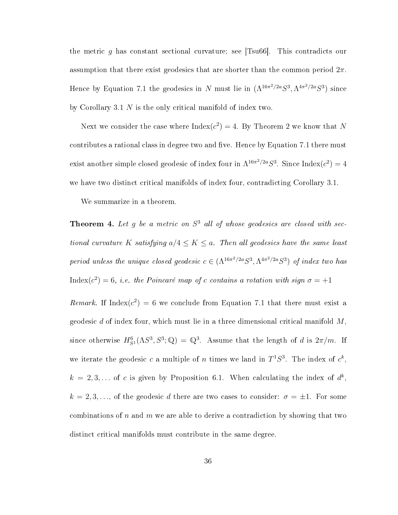the metric g has constant sectional curvature; see  $|\text{Tsu66}|$ . This contradicts our assumption that there exist geodesics that are shorter than the common period  $2\pi$ . Hence by Equation 7.1 the geodesics in N must lie in  $(\Lambda^{16\pi^2/2a}S^3, \Lambda^{4\pi^2/2a}S^3)$  since by Corollary 3.1 N is the only critical manifold of index two.

Next we consider the case where  $\text{Index}(c^2) = 4$ . By Theorem 2 we know that N contributes a rational class in degree two and five. Hence by Equation 7.1 there must exist another simple closed geodesic of index four in  $\Lambda^{16\pi^2/2a}S^3$ . Since  $\text{Index}(c^2) = 4$ we have two distinct critical manifolds of index four, contradicting Corollary 3.1.

We summarize in a theorem.

**Theorem 4.** Let g be a metric on  $S^3$  all of whose geodesics are closed with sectional curvature K satisfying  $a/4 \leq K \leq a$ . Then all geodesics have the same least period unless the unique closed geodesic  $c \in (\Lambda^{16\pi^2/2a}S^3, \Lambda^{4\pi^2/2a}S^3)$  of index two has Index(c<sup>2</sup>) = 6, i.e. the Poincaré map of c contains a rotation with sign  $\sigma = +1$ Remark. If Index( $c^2$ ) = 6 we conclude from Equation 7.1 that there must exist a geodesic  $d$  of index four, which must lie in a three dimensional critical manifold  $M$ , since otherwise  $H_{S^1}^6(\Lambda S^3, S^3; \mathbb{Q}) = \mathbb{Q}^3$ . Assume that the length of d is  $2\pi/m$ . If we iterate the geodesic c a multiple of n times we land in  $T^1S^3$ . The index of  $c^k$ ,  $k = 2, 3, ...$  of c is given by Proposition 6.1. When calculating the index of  $d^k$ ,  $k = 2, 3, \ldots$ , of the geodesic d there are two cases to consider:  $\sigma = \pm 1$ . For some combinations of n and m we are able to derive a contradiction by showing that two distinct critical manifolds must contribute in the same degree.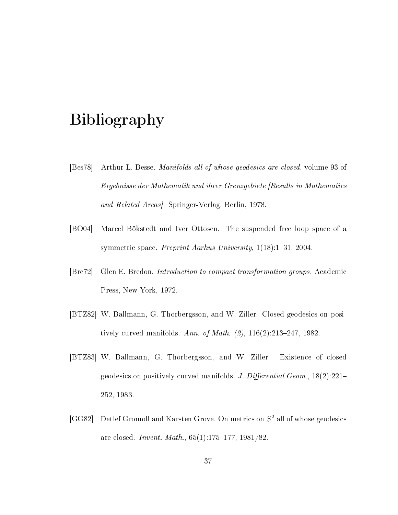## Bibliography

- [Bes78] Arthur L. Besse. Manifolds all of whose geodesics are closed, volume 93 of Ergebnisse der Mathematik und ihrer Grenzgebiete [Results in Mathematics and Related Areas]. Springer-Verlag, Berlin, 1978.
- [BO04] Marcel Bökstedt and Iver Ottosen. The suspended free loop space of a symmetric space. Preprint Aarhus University,  $1(18):1-31$ , 2004.
- [Bre72] Glen E. Bredon. Introduction to compact transformation groups. Academic Press, New York, 1972.
- [BTZ82] W. Ballmann, G. Thorbergsson, and W. Ziller. Closed geodesics on positively curved manifolds. Ann. of Math.  $(2)$ , 116 $(2)$ :213-247, 1982.
- [BTZ83] W. Ballmann, G. Thorbergsson, and W. Ziller. Existence of closed geodesics on positively curved manifolds. J. Differential Geom.,  $18(2):221-$ 252, 1983.
- [GG82] Detlef Gromoll and Karsten Grove. On metrics on  $S^2$  all of whose geodesics are closed. *Invent. Math.*,  $65(1):175-177$ ,  $1981/82$ .